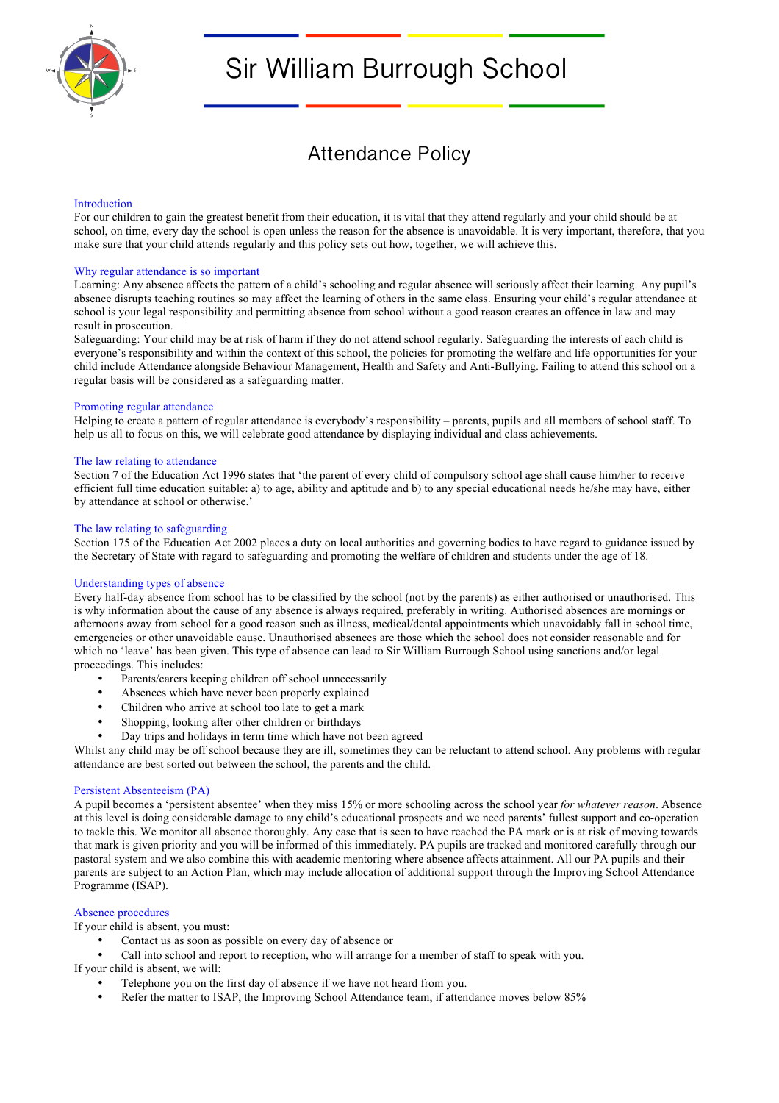

# Sir William Burrough School

| <b>Attendance Policy</b> |  |
|--------------------------|--|
|--------------------------|--|

# Introduction

For our children to gain the greatest benefit from their education, it is vital that they attend regularly and your child should be at school, on time, every day the school is open unless the reason for the absence is unavoidable. It is very important, therefore, that you make sure that your child attends regularly and this policy sets out how, together, we will achieve this.

# Why regular attendance is so important

Learning: Any absence affects the pattern of a child's schooling and regular absence will seriously affect their learning. Any pupil's absence disrupts teaching routines so may affect the learning of others in the same class. Ensuring your child's regular attendance at school is your legal responsibility and permitting absence from school without a good reason creates an offence in law and may result in prosecution.

Safeguarding: Your child may be at risk of harm if they do not attend school regularly. Safeguarding the interests of each child is everyone's responsibility and within the context of this school, the policies for promoting the welfare and life opportunities for your child include Attendance alongside Behaviour Management, Health and Safety and Anti-Bullying. Failing to attend this school on a regular basis will be considered as a safeguarding matter.

## Promoting regular attendance

Helping to create a pattern of regular attendance is everybody's responsibility – parents, pupils and all members of school staff. To help us all to focus on this, we will celebrate good attendance by displaying individual and class achievements.

# The law relating to attendance

Section 7 of the Education Act 1996 states that 'the parent of every child of compulsory school age shall cause him/her to receive efficient full time education suitable: a) to age, ability and aptitude and b) to any special educational needs he/she may have, either by attendance at school or otherwise.'

# The law relating to safeguarding

Section 175 of the Education Act 2002 places a duty on local authorities and governing bodies to have regard to guidance issued by the Secretary of State with regard to safeguarding and promoting the welfare of children and students under the age of 18.

# Understanding types of absence

Every half-day absence from school has to be classified by the school (not by the parents) as either authorised or unauthorised. This is why information about the cause of any absence is always required, preferably in writing. Authorised absences are mornings or afternoons away from school for a good reason such as illness, medical/dental appointments which unavoidably fall in school time, emergencies or other unavoidable cause. Unauthorised absences are those which the school does not consider reasonable and for which no 'leave' has been given. This type of absence can lead to Sir William Burrough School using sanctions and/or legal proceedings. This includes:

- Parents/carers keeping children off school unnecessarily
- Absences which have never been properly explained
- Children who arrive at school too late to get a mark
- Shopping, looking after other children or birthdays
- Day trips and holidays in term time which have not been agreed

Whilst any child may be off school because they are ill, sometimes they can be reluctant to attend school. Any problems with regular attendance are best sorted out between the school, the parents and the child.

## Persistent Absenteeism (PA)

A pupil becomes a 'persistent absentee' when they miss 15% or more schooling across the school year *for whatever reason*. Absence at this level is doing considerable damage to any child's educational prospects and we need parents' fullest support and co-operation to tackle this. We monitor all absence thoroughly. Any case that is seen to have reached the PA mark or is at risk of moving towards that mark is given priority and you will be informed of this immediately. PA pupils are tracked and monitored carefully through our pastoral system and we also combine this with academic mentoring where absence affects attainment. All our PA pupils and their parents are subject to an Action Plan, which may include allocation of additional support through the Improving School Attendance Programme (ISAP).

# Absence procedures

If your child is absent, you must:

- Contact us as soon as possible on every day of absence or
- Call into school and report to reception, who will arrange for a member of staff to speak with you.

If your child is absent, we will:

- Telephone you on the first day of absence if we have not heard from you.
- Refer the matter to ISAP, the Improving School Attendance team, if attendance moves below 85%